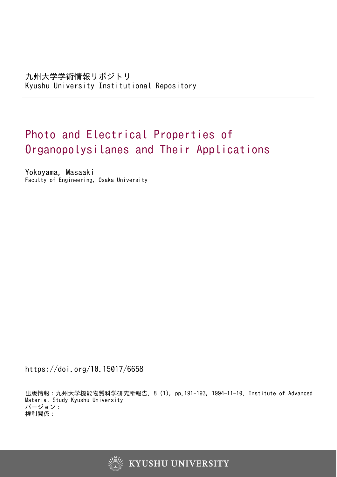九州大学学術情報リポジトリ Kyushu University Institutional Repository

# Photo and Electrical Properties of Organopolysilanes and Their Applications

Yokoyama, Masaaki Faculty of Engineering, Osaka University

https://doi.org/10.15017/6658

出版情報:九州大学機能物質科学研究所報告. 8 (1), pp.191-193, 1994-11-10. Institute of Advanced Material Study Kyushu University バージョン: 権利関係:

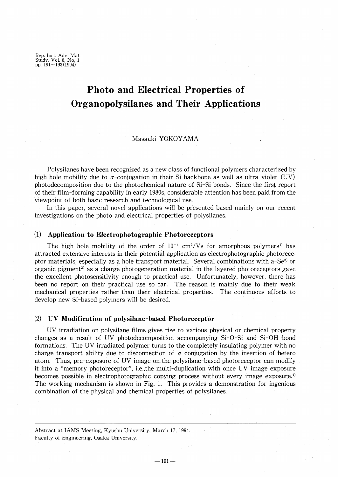Rep. Inst. Adv. Mat. Study, Vo!. 8, No. 1 pp. 191~193(1994)

## **Photo and Electrical Properties of Organopolysilanes and Their Applications**

#### Masaaki YOKOYAMA

Polysilanes have been recognized as a new class of functional polymers characterized by high hole mobility due to  $\sigma$ -conjugation in their Si backbone as well as ultra-violet (UV) photodecomposition due to the photochemical nature of Si-Si bonds. Since the first report of their film-forming capability in early 1980s, considerable attention has been paid from the viewpoint of both basic research and technological use.

In this paper, several novel applications will be presented based mainly on our recent investigations on the photo and electrical properties of polysilanes.

#### (1) **Application to Electrophotographic Photoreceptors**

The high hole mobility of the order of  $10^{-4}$  cm<sup>2</sup>/Vs for amorphous polymers<sup>1</sup> has attracted extensive interests in their potential application as electrophotographic photoreceptor materials, especially as a hole transport material. Several combinations with a-Se<sup>2)</sup> or organic pigment<sup>3)</sup> as a charge photogeneration material in the layered photoreceptors gave the excellent photosensitivity enough to practical use. Unfortunately, however, there has been no report on their practical use so far. The reason is mainly due to their weak mechanical properties rather than their electrical properties. The continuous efforts to develop new Si-based polymers will be desired.

#### (2) **DV Modification of polysilane-based Photoreceptor**

UV irradiation on polysilane films gives rise to various physical or chemical property changes as a result of UV photodecomposition accompanying Si-O-Si and Si-OH bond formations. The UV irradiated polymer turns to the completely insulating polymer with no charge transport ability due to disconnection of  $\sigma$ -conjugation by the insertion of hetero atom. Thus, pre-exposure of UV image on the polysilane-based photoreceptor can modify it into a "memory photoreceptor", i.e., the multi-duplication with once UV image exposure becomes possible in electrophotographic copying process without every image exposure.<sup>4</sup> The working mechanism is shown in Fig. 1. This provides a demonstration for ingenious combination of the physical and chemical properties of polysilanes.

Abstract at lAMS Meeting, Kyushu University, March 17, 1994. Faculty of Engineering, Osaka University.

 $-191-$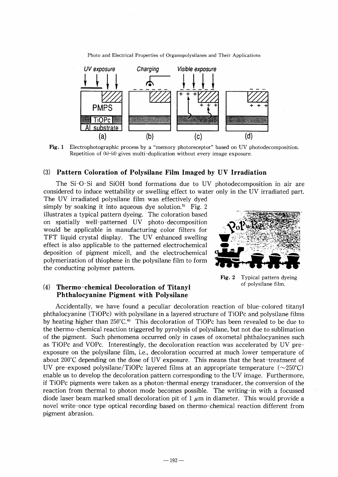Photo and Electrical Properties of Organopolysilanes and Their Applications



Fig. 1 Electrophotographic process by a "memory photoreceptor" based on UV photodecomposition. Repetition of (b)-(d) gives multi-duplication without every image exposure.

#### (3) Pattern Coloration of Polysilane Film Imaged by DV Irradiation

The Si-O-Si and SiOH bond formations due to DV photodecomposition in air are considered to induce wettability or swelling effect to water only in the DV irradiated part.

The DV irradiated polysilane film was effectively dyed simply by soaking it into aqueous dye solution.<sup>5)</sup> Fig. 2 illustrates a typical pattern dyeing. The coloration based on spatially well-patterned DV photo-decomposition would be applicable in manufacturing color filters for TFT liquid crystal display. The DV enhanced swelling effect is also applicable to the patterned electrochemical deposition of pigment micell, and the electrochemical polymerization of thiophene in the polysilane film to form the conducting polymer pattern.



Fig. 2 Typical pattern dyeing of polysilane film.

### (4) Thermo-chemical Decoloration of Titanyl Phthalocyanine Pigment with Polysilane

Accidentally, we have found a peculiar decoloration reaction of blue-colored titanyl phthalocyanine (TiOPc) with polysilane in a layered structure of TiOPc and polysilane films by heating higher than 250°C.<sup>6</sup> This decoloration of TiOPc has been revealed to be due to the thermo-chemical reaction triggered by pyrolysis of polysilane, but not due to sublimation of the pigment. Such phenomena occurred only in cases of oxometal phthalocyanines such as TiOPc and VOPc. Interestingly, the decoloration reaction was accelerated by DV preexposure on the polysilane film, *i.e.*, decoloration occurred at much lower temperature of about 200°C depending on the dose of DV exposure. This means that the heat-treatment of UV pre-exposed polysilane/TiOPc layered films at an appropriate temperature ( $\sim$ 250°C) enable us to develop the decoloration pattern corresponding to the DV image. Furthermore, if TiOPc pigments were taken as a photon-thermal energy transducer, the conversion of the reaction from thermal to photon mode becomes possible. The writing-in with a focussed diode laser beam marked small decoloration pit of  $1 \mu m$  in diameter. This would provide a novel write-once type optical recording based on thermo-chemical reaction different from pigment abrasion.